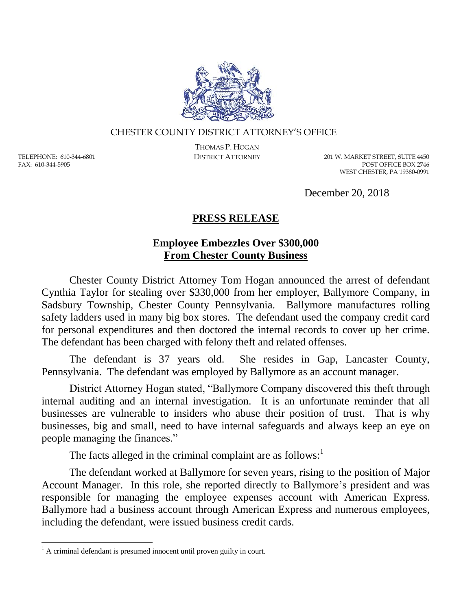

## CHESTER COUNTY DISTRICT ATTORNEY'S OFFICE

TELEPHONE: 610-344-6801 FAX: 610-344-5905

 $\overline{a}$ 

THOMAS P. HOGAN

DISTRICT ATTORNEY 201 W. MARKET STREET, SUITE 4450 POST OFFICE BOX 2746 WEST CHESTER, PA 19380-0991

December 20, 2018

## **PRESS RELEASE**

## **Employee Embezzles Over \$300,000 From Chester County Business**

Chester County District Attorney Tom Hogan announced the arrest of defendant Cynthia Taylor for stealing over \$330,000 from her employer, Ballymore Company, in Sadsbury Township, Chester County Pennsylvania. Ballymore manufactures rolling safety ladders used in many big box stores. The defendant used the company credit card for personal expenditures and then doctored the internal records to cover up her crime. The defendant has been charged with felony theft and related offenses.

The defendant is 37 years old. She resides in Gap, Lancaster County, Pennsylvania. The defendant was employed by Ballymore as an account manager.

District Attorney Hogan stated, "Ballymore Company discovered this theft through internal auditing and an internal investigation. It is an unfortunate reminder that all businesses are vulnerable to insiders who abuse their position of trust. That is why businesses, big and small, need to have internal safeguards and always keep an eye on people managing the finances."

The facts alleged in the criminal complaint are as follows: $<sup>1</sup>$ </sup>

The defendant worked at Ballymore for seven years, rising to the position of Major Account Manager. In this role, she reported directly to Ballymore's president and was responsible for managing the employee expenses account with American Express. Ballymore had a business account through American Express and numerous employees, including the defendant, were issued business credit cards.

 $<sup>1</sup>$  A criminal defendant is presumed innocent until proven guilty in court.</sup>